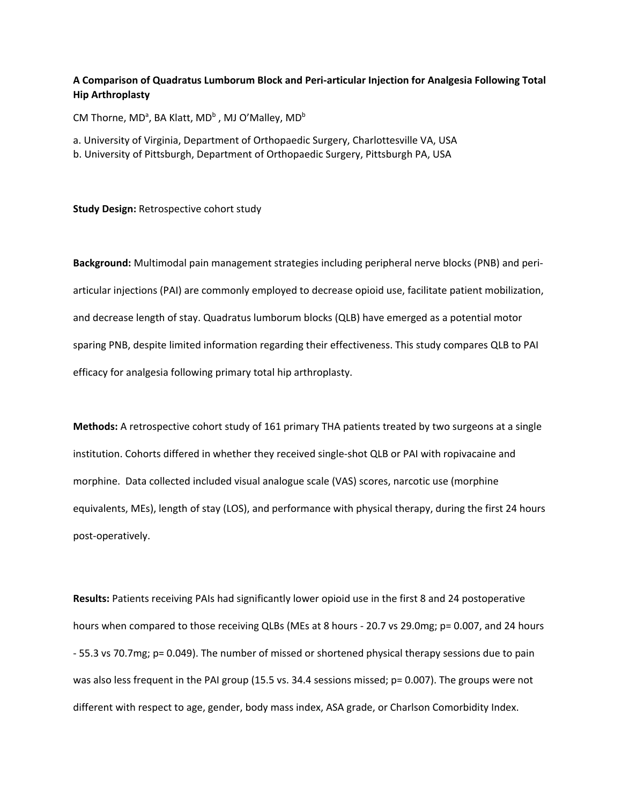## **A Comparison of Quadratus Lumborum Block and Peri-articular Injection for Analgesia Following Total Hip Arthroplasty**

CM Thorne, MD<sup>a</sup>, BA Klatt, MD<sup>b</sup>, MJ O'Malley, MD<sup>b</sup>

a. University of Virginia, Department of Orthopaedic Surgery, Charlottesville VA, USA

b. University of Pittsburgh, Department of Orthopaedic Surgery, Pittsburgh PA, USA

**Study Design:** Retrospective cohort study

**Background:** Multimodal pain management strategies including peripheral nerve blocks (PNB) and periarticular injections (PAI) are commonly employed to decrease opioid use, facilitate patient mobilization, and decrease length of stay. Quadratus lumborum blocks (QLB) have emerged as a potential motor sparing PNB, despite limited information regarding their effectiveness. This study compares QLB to PAI efficacy for analgesia following primary total hip arthroplasty.

**Methods:** A retrospective cohort study of 161 primary THA patients treated by two surgeons at a single institution. Cohorts differed in whether they received single-shot QLB or PAI with ropivacaine and morphine. Data collected included visual analogue scale (VAS) scores, narcotic use (morphine equivalents, MEs), length of stay (LOS), and performance with physical therapy, during the first 24 hours post-operatively.

**Results:** Patients receiving PAIs had significantly lower opioid use in the first 8 and 24 postoperative hours when compared to those receiving QLBs (MEs at 8 hours - 20.7 vs 29.0mg; p= 0.007, and 24 hours - 55.3 vs 70.7mg; p= 0.049). The number of missed or shortened physical therapy sessions due to pain was also less frequent in the PAI group (15.5 vs. 34.4 sessions missed; p= 0.007). The groups were not different with respect to age, gender, body mass index, ASA grade, or Charlson Comorbidity Index.